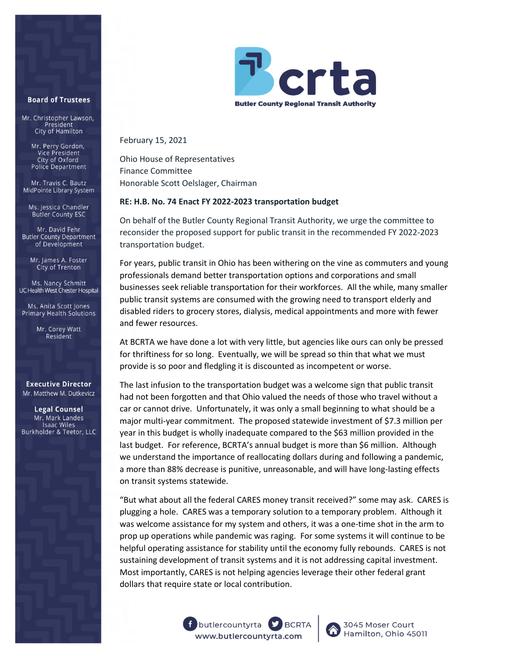## **Board of Trustees**

Mr. Christopher Lawson, President City of Hamilton

> Mr. Perry Gordon, Vice President City of Oxford Police Department

Mr. Travis C. Bautz MidPointe Library System

Ms. Jessica Chandler **Butler County ESC** 

Mr. David Fehr **Butler County Department** of Development

Mr. James A. Foster City of Trenton

Ms. Nancy Schmitt UC Health West Chester Hospital

Ms. Anita Scott Jones Primary Health Solutions

> Mr. Corey Watt Resident

## **Executive Director** Mr. Matthew M. Dutkevicz

**Legal Counsel** Mr. Mark Landes **Isaac Wiles** Burkholder & Teetor, LLC



February 15, 2021

Ohio House of Representatives Finance Committee Honorable Scott Oelslager, Chairman

## **RE: H.B. No. 74 Enact FY 2022-2023 transportation budget**

On behalf of the Butler County Regional Transit Authority, we urge the committee to reconsider the proposed support for public transit in the recommended FY 2022-2023 transportation budget.

For years, public transit in Ohio has been withering on the vine as commuters and young professionals demand better transportation options and corporations and small businesses seek reliable transportation for their workforces. All the while, many smaller public transit systems are consumed with the growing need to transport elderly and disabled riders to grocery stores, dialysis, medical appointments and more with fewer and fewer resources.

At BCRTA we have done a lot with very little, but agencies like ours can only be pressed for thriftiness for so long. Eventually, we will be spread so thin that what we must provide is so poor and fledgling it is discounted as incompetent or worse.

The last infusion to the transportation budget was a welcome sign that public transit had not been forgotten and that Ohio valued the needs of those who travel without a car or cannot drive. Unfortunately, it was only a small beginning to what should be a major multi-year commitment. The proposed statewide investment of \$7.3 million per year in this budget is wholly inadequate compared to the \$63 million provided in the last budget. For reference, BCRTA's annual budget is more than \$6 million. Although we understand the importance of reallocating dollars during and following a pandemic, a more than 88% decrease is punitive, unreasonable, and will have long-lasting effects on transit systems statewide.

"But what about all the federal CARES money transit received?" some may ask. CARES is plugging a hole. CARES was a temporary solution to a temporary problem. Although it was welcome assistance for my system and others, it was a one-time shot in the arm to prop up operations while pandemic was raging. For some systems it will continue to be helpful operating assistance for stability until the economy fully rebounds. CARES is not sustaining development of transit systems and it is not addressing capital investment. Most importantly, CARES is not helping agencies leverage their other federal grant dollars that require state or local contribution.